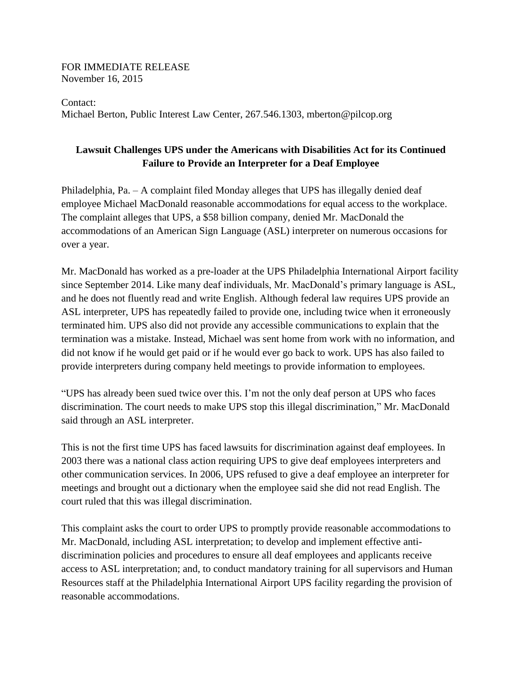FOR IMMEDIATE RELEASE November 16, 2015

Contact: Michael Berton, Public Interest Law Center, 267.546.1303, mberton@pilcop.org

## **Lawsuit Challenges UPS under the Americans with Disabilities Act for its Continued Failure to Provide an Interpreter for a Deaf Employee**

Philadelphia, Pa. – A complaint filed Monday alleges that UPS has illegally denied deaf employee Michael MacDonald reasonable accommodations for equal access to the workplace. The complaint alleges that UPS, a \$58 billion company, denied Mr. MacDonald the accommodations of an American Sign Language (ASL) interpreter on numerous occasions for over a year.

Mr. MacDonald has worked as a pre-loader at the UPS Philadelphia International Airport facility since September 2014. Like many deaf individuals, Mr. MacDonald's primary language is ASL, and he does not fluently read and write English. Although federal law requires UPS provide an ASL interpreter, UPS has repeatedly failed to provide one, including twice when it erroneously terminated him. UPS also did not provide any accessible communications to explain that the termination was a mistake. Instead, Michael was sent home from work with no information, and did not know if he would get paid or if he would ever go back to work. UPS has also failed to provide interpreters during company held meetings to provide information to employees.

"UPS has already been sued twice over this. I'm not the only deaf person at UPS who faces discrimination. The court needs to make UPS stop this illegal discrimination," Mr. MacDonald said through an ASL interpreter.

This is not the first time UPS has faced lawsuits for discrimination against deaf employees. In 2003 there was a national class action requiring UPS to give deaf employees interpreters and other communication services. In 2006, UPS refused to give a deaf employee an interpreter for meetings and brought out a dictionary when the employee said she did not read English. The court ruled that this was illegal discrimination.

This complaint asks the court to order UPS to promptly provide reasonable accommodations to Mr. MacDonald, including ASL interpretation; to develop and implement effective antidiscrimination policies and procedures to ensure all deaf employees and applicants receive access to ASL interpretation; and, to conduct mandatory training for all supervisors and Human Resources staff at the Philadelphia International Airport UPS facility regarding the provision of reasonable accommodations.